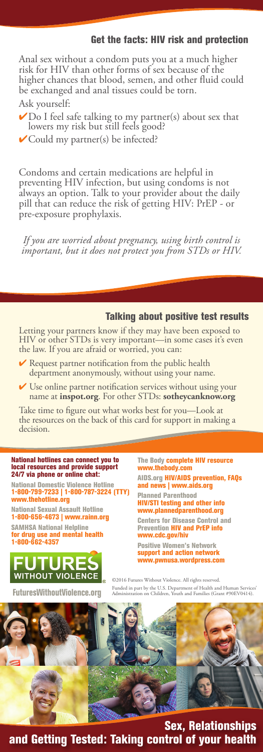## Get the facts: HIV risk and protection

Anal sex without a condom puts you at a much higher risk for HIV than other forms of sex because of the higher chances that blood, semen, and other fluid could be exchanged and anal tissues could be torn. Ask yourself:

- $\blacktriangleright$  Do I feel safe talking to my partner(s) about sex that lowers my risk but still feels good?
- $\checkmark$ Could my partner(s) be infected?

Condoms and certain medications are helpful in preventing HIV infection, but using condoms is not always an option. Talk to your provider about the daily pill that can reduce the risk of getting HIV: PrEP - or pre-exposure prophylaxis.

*If you are worried about pregnancy, using birth control is important, but it does not protect you from STDs or HIV.* 

### Talking about positive test results

Letting your partners know if they may have been exposed to HIV or other STDs is very important—in some cases it's even HIV or other STDs is very important—in sothe law. If you are afraid or worried, you can:

- $\vee$  Request partner notification from the public health department anonymously, without using your name.
- $\checkmark$  Use online partner notification services without using your name at **inspot.org**. For other STDs: **sotheycanknow.org**

Take time to figure out what works best for you—Look at the resources on the back of this card for support in making a decision.

# National hotlines can connect you to local resources and provide support 24/7 via phone or online chat:

National Domestic Violence Hotline<br>1-800-799-7233 | 1-800-787-3224 (TTY)<br>www.thehotline.org

National Sexual Assault Hotline 1-800-656-4673 | www.rainn.org

SAMHSA National Helpline for drug use and mental health 1-800-662-4357



The Body complete HIV resource www.thebody.com

AIDS.org HIV/AIDS prevention, FAQs and news | www.aids.org

Planned Parenthood HIV/STI testing and other info www.plannedparenthood.org

Centers for Disease Control and Prevention HIV and PrEP info www.cdc.gov/hiv

Positive Women's Network support and action network www.pwnusa.wordpress.com

©2016 Futures Without Violence. All rights reserved. Funded in part by the U.S. Department of Health and Human Service<br>Administration on Children, Youth and Families (Grant #90EV0414).



Sex, Relationships and Getting Tested: Taking control of your health